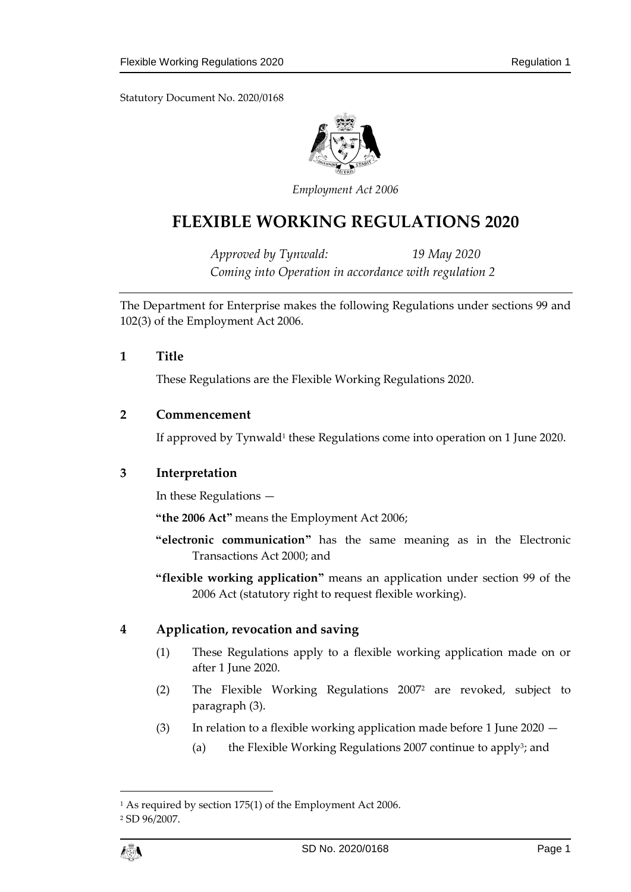

*Employment Act 2006*

# **FLEXIBLE WORKING REGULATIONS 2020**

*Approved by Tynwald: 19 May 2020 Coming into Operation in accordance with regulation 2*

The Department for Enterprise makes the following Regulations under sections 99 and 102(3) of the Employment Act 2006.

## **1 Title**

These Regulations are the Flexible Working Regulations 2020.

## **2 Commencement**

If approved by Tynwald<sup>1</sup> these Regulations come into operation on 1 June 2020.

## **3 Interpretation**

In these Regulations —

**"the 2006 Act"** means the Employment Act 2006;

- **"electronic communication"** has the same meaning as in the Electronic Transactions Act 2000; and
- **"flexible working application"** means an application under section 99 of the 2006 Act (statutory right to request flexible working).

# **4 Application, revocation and saving**

- (1) These Regulations apply to a flexible working application made on or after 1 June 2020.
- (2) The Flexible Working Regulations 2007<sup>2</sup> are revoked, subject to paragraph (3).
- (3) In relation to a flexible working application made before 1 June 2020
	- (a) the Flexible Working Regulations 2007 continue to apply<sup>3</sup>; and

 $\overline{a}$ 

<sup>1</sup> As required by section 175(1) of the Employment Act 2006.

<sup>2</sup> SD 96/2007.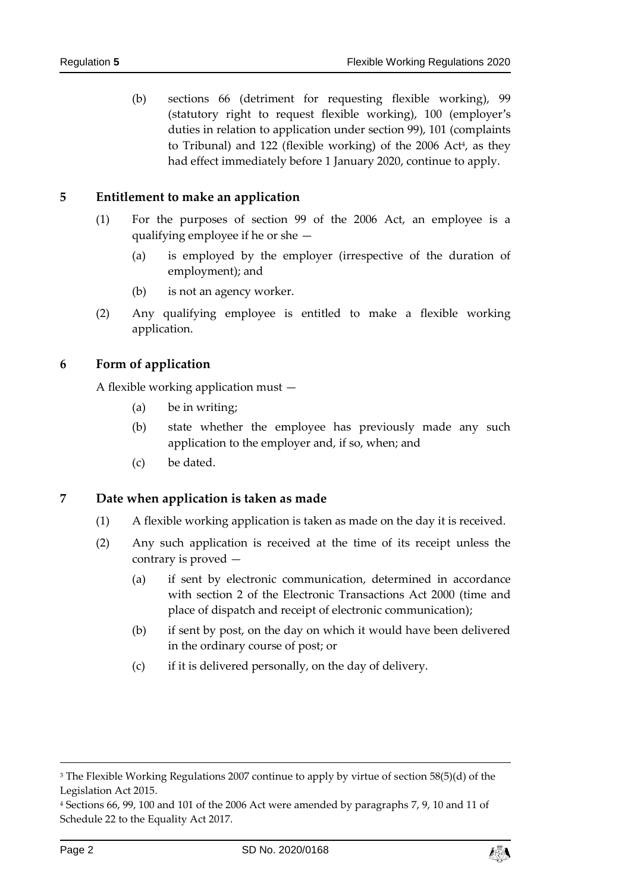(b) sections 66 (detriment for requesting flexible working), 99 (statutory right to request flexible working), 100 (employer's duties in relation to application under section 99), 101 (complaints to Tribunal) and 122 (flexible working) of the 2006 Act<sup>4</sup>, as they had effect immediately before 1 January 2020, continue to apply.

#### **5 Entitlement to make an application**

- (1) For the purposes of section 99 of the 2006 Act, an employee is a qualifying employee if he or she —
	- (a) is employed by the employer (irrespective of the duration of employment); and
	- (b) is not an agency worker.
- (2) Any qualifying employee is entitled to make a flexible working application.

#### **6 Form of application**

A flexible working application must —

- (a) be in writing;
- (b) state whether the employee has previously made any such application to the employer and, if so, when; and
- (c) be dated.

#### **7 Date when application is taken as made**

- (1) A flexible working application is taken as made on the day it is received.
- (2) Any such application is received at the time of its receipt unless the contrary is proved —
	- (a) if sent by electronic communication, determined in accordance with section 2 of the Electronic Transactions Act 2000 (time and place of dispatch and receipt of electronic communication);
	- (b) if sent by post, on the day on which it would have been delivered in the ordinary course of post; or
	- (c) if it is delivered personally, on the day of delivery.

1



<sup>&</sup>lt;sup>3</sup> The Flexible Working Regulations 2007 continue to apply by virtue of section 58(5)(d) of the Legislation Act 2015.

<sup>4</sup> Sections 66, 99, 100 and 101 of the 2006 Act were amended by paragraphs 7, 9, 10 and 11 of Schedule 22 to the Equality Act 2017.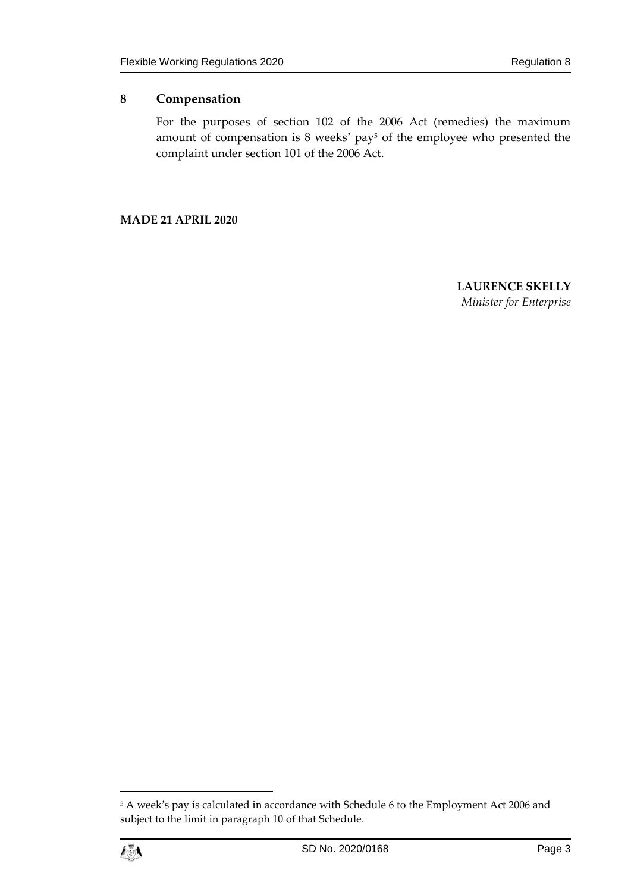# **8 Compensation**

For the purposes of section 102 of the 2006 Act (remedies) the maximum amount of compensation is 8 weeks' pay<sup>5</sup> of the employee who presented the complaint under section 101 of the 2006 Act.

**MADE 21 APRIL 2020**

**LAURENCE SKELLY** *Minister for Enterprise*

<sup>5</sup> A week's pay is calculated in accordance with Schedule 6 to the Employment Act 2006 and subject to the limit in paragraph 10 of that Schedule.



 $\overline{a}$